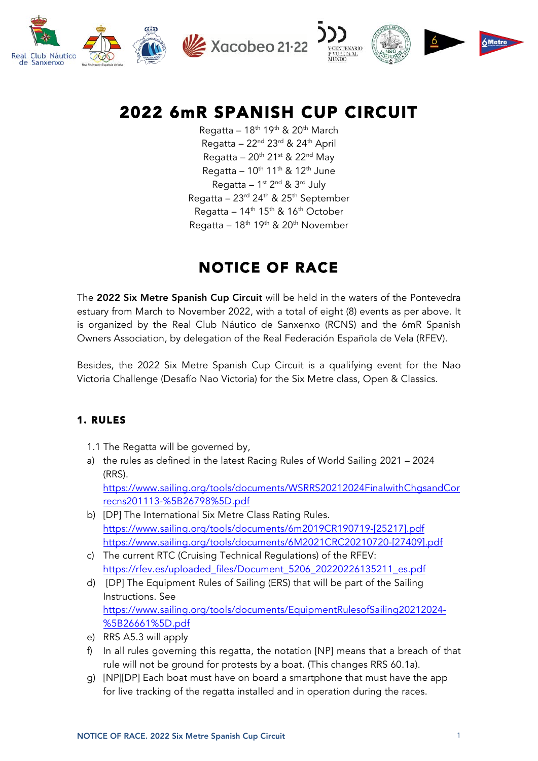

$$
\sum_{\substack{\text{VCLNTENARO}\\ \text{IVUEIMAL}}}\left(\bigotimes_{\substack{\text{NPO}\\ \text{VUVLAAL}}}\right)\begin{array}{c}\n\bullet \\
\bullet \\
\bullet\n\end{array}\n\qquad\n\begin{array}{c}\n\bullet \\
\bullet \\
\bullet \\
\bullet\n\end{array}\n\qquad\n\begin{array}{c}\n\bullet \\
\bullet \\
\bullet \\
\bullet\n\end{array}
$$

# 2022 6mR SPANISH CUP CIRCUIT

Regatta –  $18^{th}$  19<sup>th</sup> & 20<sup>th</sup> March Regatta –  $22<sup>nd</sup> 23<sup>rd</sup> 8.24<sup>th</sup>$  April Regatta –  $20<sup>th</sup> 21<sup>st</sup>$  &  $22<sup>nd</sup>$  May Regatta –  $10^{th}$  11<sup>th</sup> & 12<sup>th</sup> June Regatta –  $1^{st}$  2<sup>nd</sup> &  $3^{rd}$  July Regatta – 23 $^{rd}$  24 $^{th}$  & 25 $^{th}$  September Regatta –  $14<sup>th</sup> 15<sup>th</sup>$  &  $16<sup>th</sup>$  October Regatta –  $18^{th}$  19<sup>th</sup> & 20<sup>th</sup> November

## NOTICE OF RACE

The 2022 Six Metre Spanish Cup Circuit will be held in the waters of the Pontevedra estuary from March to November 2022, with a total of eight (8) events as per above. It is organized by the Real Club Náutico de Sanxenxo (RCNS) and the 6mR Spanish Owners Association, by delegation of the Real Federación Española de Vela (RFEV).

Besides, the 2022 Six Metre Spanish Cup Circuit is a qualifying event for the Nao Victoria Challenge (Desafío Nao Victoria) for the Six Metre class, Open & Classics.

## 1. RULES

- 1.1 The Regatta will be governed by,
- a) the rules as defined in the latest Racing Rules of World Sailing 2021 2024 (RRS).

[https://www.sailing.org/tools/documents/WSRRS20212024FinalwithChgsandCor](https://www.sailing.org/tools/documents/WSRRS20212024FinalwithChgsandCorrecns201113-%5B26798%5D.pdf) recns201113-%5B26798%5D.pdf

- b) [DP] The International Six Metre Class Rating Rules. https://www.sailing.org/tools/documents/6m2019CR190719-[25217].pdf https://www.sailing.org/tools/documents/6M2021CRC20210720-[27409].pdf
- c) The current RTC (Cruising Technical Regulations) of the RFEV: https://rfev.es/uploaded\_files/Document\_5206\_20220226135211\_es.pdf
- d) [DP] The Equipment Rules of Sailing (ERS) that will be part of the Sailing Instructions. See [https://www.sailing.org/tools/documents/EquipmentRulesofSailing20212024-](https://www.sailing.org/tools/documents/EquipmentRulesofSailing20212024-%5B26661%5D.pdf) %5B26661%5D.pdf
- e) RRS A5.3 will apply
- f) In all rules governing this regatta, the notation [NP] means that a breach of that rule will not be ground for protests by a boat. (This changes RRS 60.1a).
- g) [NP][DP] Each boat must have on board a smartphone that must have the app for live tracking of the regatta installed and in operation during the races.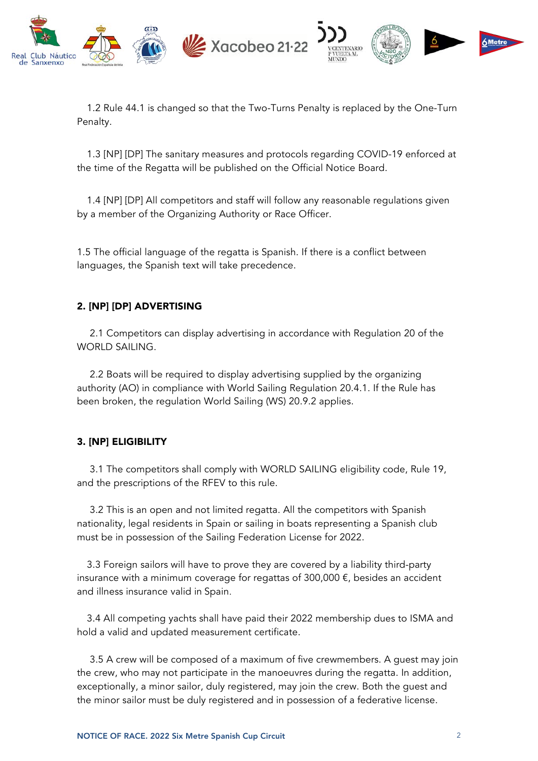

1.2 Rule 44.1 is changed so that the Two-Turns Penalty is replaced by the One-Turn Penalty.

1.3 [NP] [DP] The sanitary measures and protocols regarding COVID-19 enforced at the time of the Regatta will be published on the Official Notice Board.

1.4 [NP] [DP] All competitors and staff will follow any reasonable regulations given by a member of the Organizing Authority or Race Officer.

1.5 The official language of the regatta is Spanish. If there is a conflict between languages, the Spanish text will take precedence.

## 2. [NP] [DP] ADVERTISING

2.1 Competitors can display advertising in accordance with Regulation 20 of the WORLD SAILING.

2.2 Boats will be required to display advertising supplied by the organizing authority (AO) in compliance with World Sailing Regulation 20.4.1. If the Rule has been broken, the regulation World Sailing (WS) 20.9.2 applies.

#### 3. [NP] ELIGIBILITY

3.1 The competitors shall comply with WORLD SAILING eligibility code, Rule 19, and the prescriptions of the RFEV to this rule.

3.2 This is an open and not limited regatta. All the competitors with Spanish nationality, legal residents in Spain or sailing in boats representing a Spanish club must be in possession of the Sailing Federation License for 2022.

3.3 Foreign sailors will have to prove they are covered by a liability third-party insurance with a minimum coverage for regattas of 300,000  $\epsilon$ , besides an accident and illness insurance valid in Spain.

3.4 All competing yachts shall have paid their 2022 membership dues to ISMA and hold a valid and updated measurement certificate.

3.5 A crew will be composed of a maximum of five crewmembers. A guest may join the crew, who may not participate in the manoeuvres during the regatta. In addition, exceptionally, a minor sailor, duly registered, may join the crew. Both the guest and the minor sailor must be duly registered and in possession of a federative license.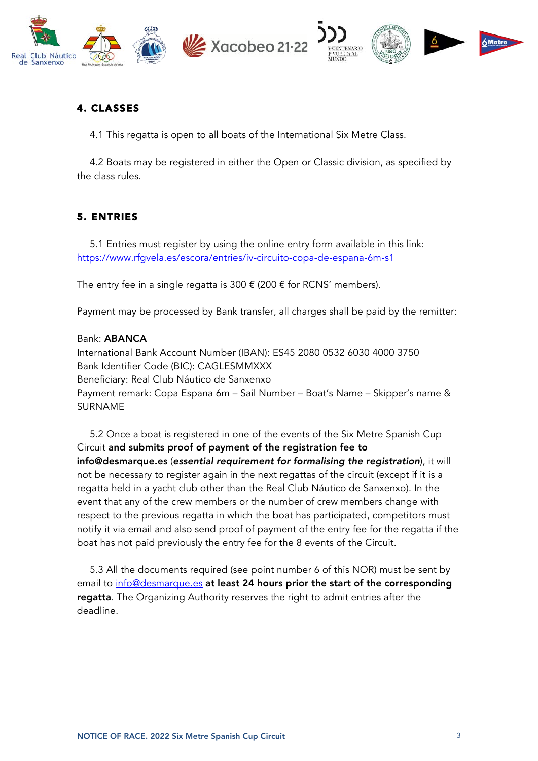

## 4. CLASSES

4.1 This regatta is open to all boats of the International Six Metre Class.

4.2 Boats may be registered in either the Open or Classic division, as specified by the class rules.

## 5. ENTRIES

5.1 Entries must register by using the online entry form available in this link: https://www.rfgvela.es/escora/entries/iv-circuito-copa-de-espana-6m-s1

The entry fee in a single regatta is 300  $\epsilon$  (200  $\epsilon$  for RCNS' members).

Payment may be processed by Bank transfer, all charges shall be paid by the remitter:

#### Bank: ABANCA

International Bank Account Number (IBAN): ES45 2080 0532 6030 4000 3750 Bank Identifier Code (BIC): CAGLESMMXXX Beneficiary: Real Club Náutico de Sanxenxo Payment remark: Copa Espana 6m – Sail Number – Boat's Name – Skipper's name & SURNAME

5.2 Once a boat is registered in one of the events of the Six Metre Spanish Cup Circuit and submits proof of payment of the registration fee to info@desmarque.es (*essential requirement for formalising the registration*), it will not be necessary to register again in the next regattas of the circuit (except if it is a regatta held in a yacht club other than the Real Club Náutico de Sanxenxo). In the event that any of the crew members or the number of crew members change with respect to the previous regatta in which the boat has participated, competitors must notify it via email and also send proof of payment of the entry fee for the regatta if the boat has not paid previously the entry fee for the 8 events of the Circuit.

5.3 All the documents required (see point number 6 of this NOR) must be sent by email to info@desmarque.es at least 24 hours prior the start of the corresponding regatta. The Organizing Authority reserves the right to admit entries after the deadline.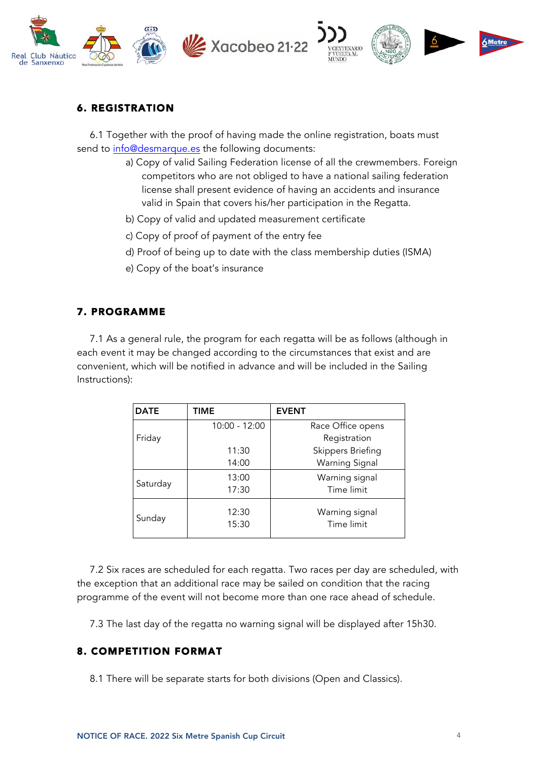





## 6. REGISTRATION

6.1 Together with the proof of having made the online registration, boats must send to info@desmarque.es the following documents:

- a) Copy of valid Sailing Federation license of all the crewmembers. Foreign competitors who are not obliged to have a national sailing federation license shall present evidence of having an accidents and insurance valid in Spain that covers his/her participation in the Regatta.
- b) Copy of valid and updated measurement certificate
- c) Copy of proof of payment of the entry fee
- d) Proof of being up to date with the class membership duties (ISMA)
- e) Copy of the boat's insurance

## 7. PROGRAMME

7.1 As a general rule, the program for each regatta will be as follows (although in each event it may be changed according to the circumstances that exist and are convenient, which will be notified in advance and will be included in the Sailing Instructions):

| <b>DATE</b> | <b>TIME</b>     | <b>EVENT</b>                 |
|-------------|-----------------|------------------------------|
|             | $10:00 - 12:00$ | Race Office opens            |
| Friday      |                 | Registration                 |
|             | 11:30           | <b>Skippers Briefing</b>     |
|             | 14:00           | <b>Warning Signal</b>        |
| Saturday    | 13:00           | Warning signal               |
|             | 17:30           | Time limit                   |
| Sunday      | 12:30<br>15:30  | Warning signal<br>Time limit |

7.2 Six races are scheduled for each regatta. Two races per day are scheduled, with the exception that an additional race may be sailed on condition that the racing programme of the event will not become more than one race ahead of schedule.

7.3 The last day of the regatta no warning signal will be displayed after 15h30.

## 8. COMPETITION FORMAT

8.1 There will be separate starts for both divisions (Open and Classics).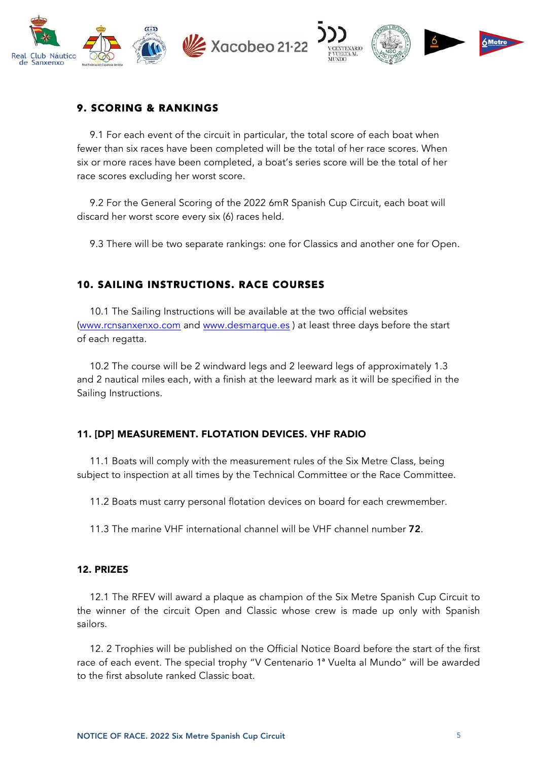

## 9. SCORING & RANKINGS

9.1 For each event of the circuit in particular, the total score of each boat when fewer than six races have been completed will be the total of her race scores. When six or more races have been completed, a boat's series score will be the total of her race scores excluding her worst score.

9.2 For the General Scoring of the 2022 6mR Spanish Cup Circuit, each boat will discard her worst score every six (6) races held.

9.3 There will be two separate rankings: one for Classics and another one for Open.

## 10. SAILING INSTRUCTIONS. RACE COURSES

10.1 The Sailing Instructions will be available at the two official websites (www.rcnsanxenxo.com and www.desmarque.es ) at least three days before the start of each regatta.

10.2 The course will be 2 windward legs and 2 leeward legs of approximately 1.3 and 2 nautical miles each, with a finish at the leeward mark as it will be specified in the Sailing Instructions.

#### 11. [DP] MEASUREMENT. FLOTATION DEVICES. VHF RADIO

11.1 Boats will comply with the measurement rules of the Six Metre Class, being subject to inspection at all times by the Technical Committee or the Race Committee.

11.2 Boats must carry personal flotation devices on board for each crewmember.

11.3 The marine VHF international channel will be VHF channel number 72.

#### 12. PRIZES

12.1 The RFEV will award a plaque as champion of the Six Metre Spanish Cup Circuit to the winner of the circuit Open and Classic whose crew is made up only with Spanish sailors.

12. 2 Trophies will be published on the Official Notice Board before the start of the first race of each event. The special trophy "V Centenario 1ª Vuelta al Mundo" will be awarded to the first absolute ranked Classic boat.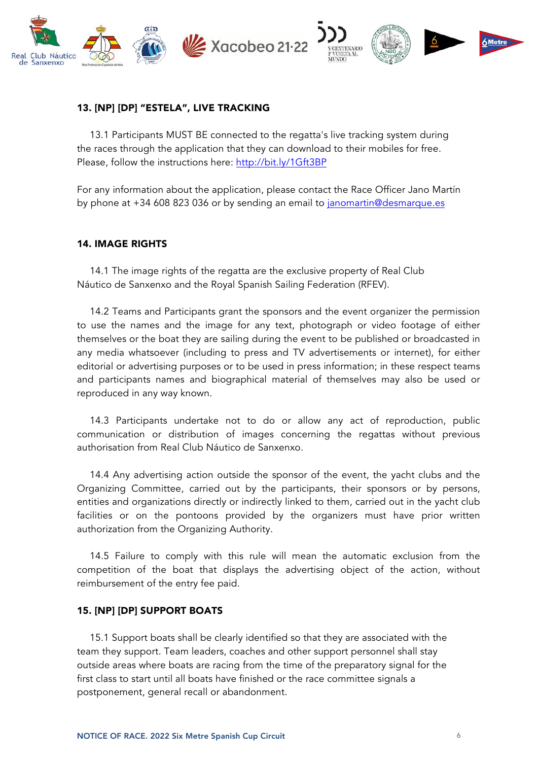

## 13. [NP] [DP] "ESTELA", LIVE TRACKING

13.1 Participants MUST BE connected to the regatta's live tracking system during the races through the application that they can download to their mobiles for free. Please, follow the instructions here: http://bit.ly/1Gft3BP

For any information about the application, please contact the Race Officer Jano Martín by phone at +34 608 823 036 or by sending an email to janomartin@desmarque.es

#### 14. IMAGE RIGHTS

14.1 The image rights of the regatta are the exclusive property of Real Club Náutico de Sanxenxo and the Royal Spanish Sailing Federation (RFEV).

14.2 Teams and Participants grant the sponsors and the event organizer the permission to use the names and the image for any text, photograph or video footage of either themselves or the boat they are sailing during the event to be published or broadcasted in any media whatsoever (including to press and TV advertisements or internet), for either editorial or advertising purposes or to be used in press information; in these respect teams and participants names and biographical material of themselves may also be used or reproduced in any way known.

14.3 Participants undertake not to do or allow any act of reproduction, public communication or distribution of images concerning the regattas without previous authorisation from Real Club Náutico de Sanxenxo.

14.4 Any advertising action outside the sponsor of the event, the yacht clubs and the Organizing Committee, carried out by the participants, their sponsors or by persons, entities and organizations directly or indirectly linked to them, carried out in the yacht club facilities or on the pontoons provided by the organizers must have prior written authorization from the Organizing Authority.

14.5 Failure to comply with this rule will mean the automatic exclusion from the competition of the boat that displays the advertising object of the action, without reimbursement of the entry fee paid.

#### 15. [NP] [DP] SUPPORT BOATS

15.1 Support boats shall be clearly identified so that they are associated with the team they support. Team leaders, coaches and other support personnel shall stay outside areas where boats are racing from the time of the preparatory signal for the first class to start until all boats have finished or the race committee signals a postponement, general recall or abandonment.